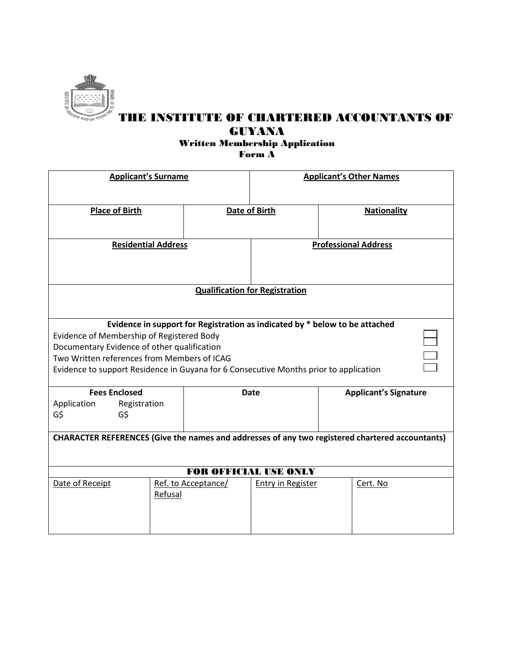

# THE INSTITUTE OF CHARTERED ACCOUNTANTS OF GUYANA

### Written Membership Application Form A

| <b>Applicant's Surname</b>                                                                      |         | <b>Applicant's Other Names</b> |                             |  |                              |  |
|-------------------------------------------------------------------------------------------------|---------|--------------------------------|-----------------------------|--|------------------------------|--|
| <b>Place of Birth</b>                                                                           |         | <b>Date of Birth</b>           |                             |  | <b>Nationality</b>           |  |
| <b>Residential Address</b>                                                                      |         |                                | <b>Professional Address</b> |  |                              |  |
| <b>Qualification for Registration</b>                                                           |         |                                |                             |  |                              |  |
| Evidence in support for Registration as indicated by * below to be attached                     |         |                                |                             |  |                              |  |
| Evidence of Membership of Registered Body                                                       |         |                                |                             |  |                              |  |
| Documentary Evidence of other qualification                                                     |         |                                |                             |  |                              |  |
| Two Written references from Members of ICAG                                                     |         |                                |                             |  |                              |  |
| Evidence to support Residence in Guyana for 6 Consecutive Months prior to application           |         |                                |                             |  |                              |  |
| <b>Fees Enclosed</b>                                                                            |         |                                | <b>Date</b>                 |  | <b>Applicant's Signature</b> |  |
| Application<br>Registration                                                                     |         |                                |                             |  |                              |  |
| G\$<br>G\$                                                                                      |         |                                |                             |  |                              |  |
|                                                                                                 |         |                                |                             |  |                              |  |
| CHARACTER REFERENCES (Give the names and addresses of any two registered chartered accountants) |         |                                |                             |  |                              |  |
|                                                                                                 |         |                                |                             |  |                              |  |
| <b>FOR OFFICIAL USE ONLY</b>                                                                    |         |                                |                             |  |                              |  |
| Date of Receipt                                                                                 |         | Ref. to Acceptance/            | Entry in Register           |  | Cert. No                     |  |
|                                                                                                 | Refusal |                                |                             |  |                              |  |
|                                                                                                 |         |                                |                             |  |                              |  |
|                                                                                                 |         |                                |                             |  |                              |  |
|                                                                                                 |         |                                |                             |  |                              |  |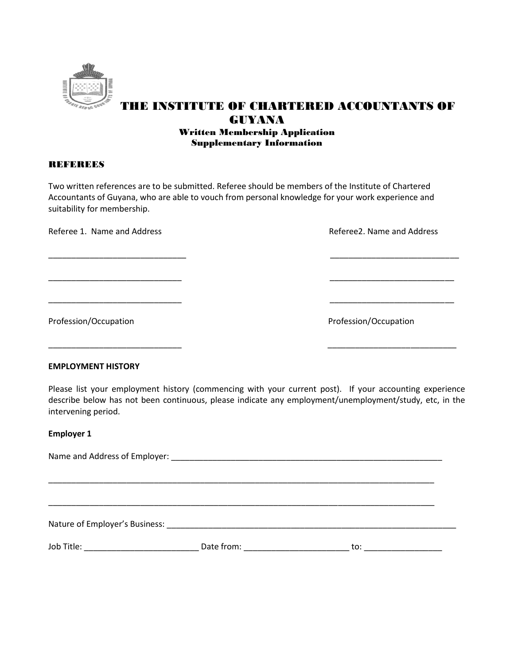

### THE INSTITUTE OF CHARTERED ACCOUNTANTS OF GUYANA Written Membership Application Supplementary Information

#### **REFEREES**

Two written references are to be submitted. Referee should be members of the Institute of Chartered Accountants of Guyana, who are able to vouch from personal knowledge for your work experience and suitability for membership.

\_\_\_\_\_\_\_\_\_\_\_\_\_\_\_\_\_\_\_\_\_\_\_\_\_\_\_\_\_\_ \_\_\_\_\_\_\_\_\_\_\_\_\_\_\_\_\_\_\_\_\_\_\_\_\_\_\_\_

\_\_\_\_\_\_\_\_\_\_\_\_\_\_\_\_\_\_\_\_\_\_\_\_\_\_\_\_\_ \_\_\_\_\_\_\_\_\_\_\_\_\_\_\_\_\_\_\_\_\_\_\_\_\_\_\_

\_\_\_\_\_\_\_\_\_\_\_\_\_\_\_\_\_\_\_\_\_\_\_\_\_\_\_\_\_ \_\_\_\_\_\_\_\_\_\_\_\_\_\_\_\_\_\_\_\_\_\_\_\_\_\_\_

\_\_\_\_\_\_\_\_\_\_\_\_\_\_\_\_\_\_\_\_\_\_\_\_\_\_\_\_\_ \_\_\_\_\_\_\_\_\_\_\_\_\_\_\_\_\_\_\_\_\_\_\_\_\_\_\_\_

Referee 1. Name and Address and Equipment of the Referee 2. Name and Address Referee 2. Name and Address

Profession/Occupation **Profession** Profession/Occupation

#### **EMPLOYMENT HISTORY**

Please list your employment history (commencing with your current post). If your accounting experience describe below has not been continuous, please indicate any employment/unemployment/study, etc, in the intervening period.

#### **Employer 1**

| Job Title: <u>Andrea Barbara and Barbara and Barbara and Barbara and Barbara and Barbara and Barbara and Barbara and Barbara and Barbara and Barbara and Barbara and Barbara and Barbara and Barbara and Barbara and Barbara and</u> | Date from: _____________________ | to: ___________________ |  |  |  |
|--------------------------------------------------------------------------------------------------------------------------------------------------------------------------------------------------------------------------------------|----------------------------------|-------------------------|--|--|--|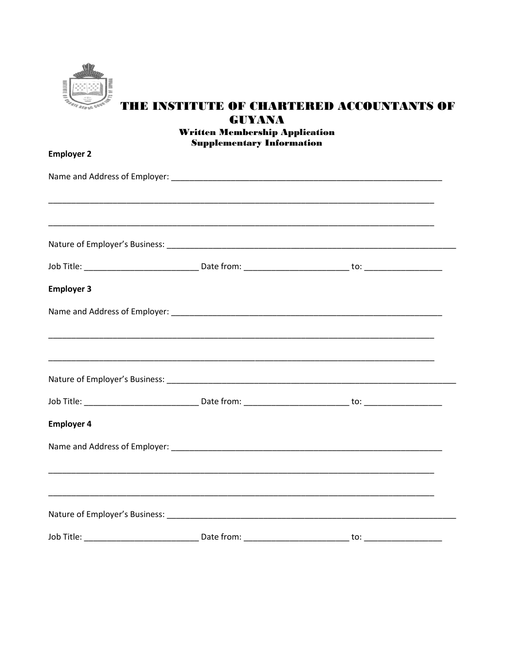

## THE INSTITUTE OF CHARTERED ACCOUNTANTS OF **GUYANA Written Membership Application**

|                   | <b>Supplementary Information</b> |     |  |
|-------------------|----------------------------------|-----|--|
| <b>Employer 2</b> |                                  |     |  |
|                   |                                  |     |  |
|                   |                                  |     |  |
|                   |                                  |     |  |
|                   |                                  |     |  |
| <b>Employer 3</b> |                                  |     |  |
|                   |                                  |     |  |
|                   |                                  |     |  |
|                   |                                  |     |  |
|                   |                                  |     |  |
| <b>Employer 4</b> |                                  |     |  |
|                   |                                  |     |  |
|                   |                                  |     |  |
|                   |                                  |     |  |
| Job Title:        | Date from:                       | to: |  |